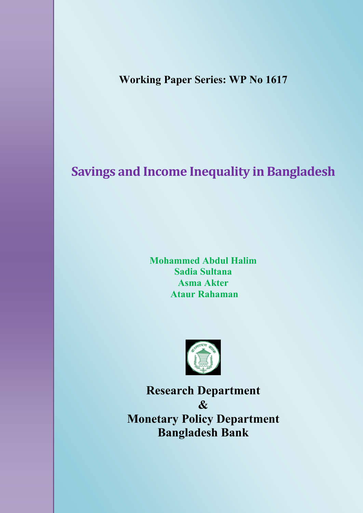**Working Paper Series: WP No 1617**

# **Savings and Income Inequality in Bangladesh**

**Mohammed Abdul Halim Sadia Sultana Asma Akter Ataur Rahaman**



**Research Department & Monetary Policy Department Bangladesh Bank**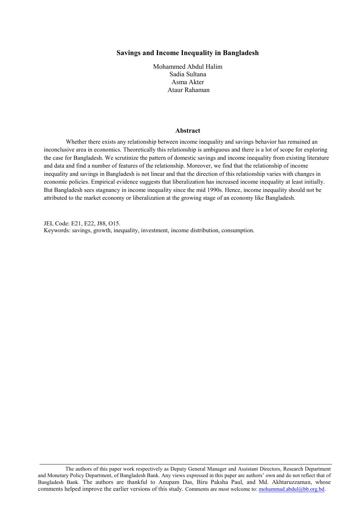## **Savings and Income Inequality in Bangladesh**

Mohammed Abdul Halim Sadia Sultana Asma Akter Ataur Rahaman

## **Abstract**

Whether there exists any relationship between income inequality and savings behavior has remained an inconclusive area in economics. Theoretically this relationship is ambiguous and there is a lot of scope for exploring the case for Bangladesh. We scrutinize the pattern of domestic savings and income inequality from existing literature and data and find a number of features of the relationship. Moreover, we find that the relationship of income inequality and savings in Bangladesh is not linear and that the direction of this relationship varies with changes in economic policies. Empirical evidence suggests that liberalization has increased income inequality at least initially. But Bangladesh sees stagnancy in income inequality since the mid 1990s. Hence, income inequality should not be attributed to the market economy or liberalization at the growing stage of an economy like Bangladesh.

JEL Code: E21, E22, J88, O15. Keywords: savings, growth, inequality, investment, income distribution, consumption.

The authors of this paper work respectively as Deputy General Manager and Assistant Directors, Research Department and Monetary Policy Department, of Bangladesh Bank. Any views expressed in this paper are authors' own and do not reflect that of Bangladesh Bank. The authors are thankful to Anupam Das, Biru Paksha Paul, and Md. Akhtaruzzaman, whose comments helped improve the earlier versions of this study. Comments are most welcome to: mohammad.abdul@bb.org.bd.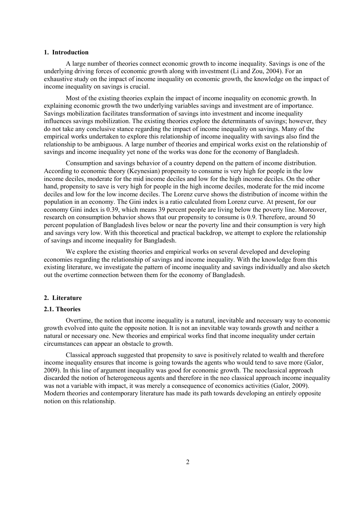## **1. Introduction**

A large number of theories connect economic growth to income inequality. Savings is one of the underlying driving forces of economic growth along with investment (Li and Zou, 2004). For an exhaustive study on the impact of income inequality on economic growth, the knowledge on the impact of income inequality on savings is crucial.

Most of the existing theories explain the impact of income inequality on economic growth. In explaining economic growth the two underlying variables savings and investment are of importance. Savings mobilization facilitates transformation of savings into investment and income inequality influences savings mobilization. The existing theories explore the determinants of savings; however, they do not take any conclusive stance regarding the impact of income inequality on savings. Many of the empirical works undertaken to explore this relationship of income inequality with savings also find the relationship to be ambiguous. A large number of theories and empirical works exist on the relationship of savings and income inequality yet none of the works was done for the economy of Bangladesh.

Consumption and savings behavior of a country depend on the pattern of income distribution. According to economic theory (Keynesian) propensity to consume is very high for people in the low income deciles, moderate for the mid income deciles and low for the high income deciles. On the other hand, propensity to save is very high for people in the high income deciles, moderate for the mid income deciles and low for the low income deciles. The Lorenz curve shows the distribution of income within the population in an economy. The Gini index is a ratio calculated from Lorenz curve. At present, for our economy Gini index is 0.39, which means 39 percent people are living below the poverty line. Moreover, research on consumption behavior shows that our propensity to consume is 0.9. Therefore, around 50 percent population of Bangladesh lives below or near the poverty line and their consumption is very high and savings very low. With this theoretical and practical backdrop, we attempt to explore the relationship of savings and income inequality for Bangladesh.

We explore the existing theories and empirical works on several developed and developing economies regarding the relationship of savings and income inequality. With the knowledge from this existing literature, we investigate the pattern of income inequality and savings individually and also sketch out the overtime connection between them for the economy of Bangladesh.

## **2. Literature**

#### **2.1. Theories**

Overtime, the notion that income inequality is a natural, inevitable and necessary way to economic growth evolved into quite the opposite notion. It is not an inevitable way towards growth and neither a natural or necessary one. New theories and empirical works find that income inequality under certain circumstances can appear an obstacle to growth.

Classical approach suggested that propensity to save is positively related to wealth and therefore income inequality ensures that income is going towards the agents who would tend to save more (Galor, 2009). In this line of argument inequality was good for economic growth. The neoclassical approach discarded the notion of heterogeneous agents and therefore in the neo classical approach income inequality was not a variable with impact, it was merely a consequence of economics activities (Galor, 2009). Modern theories and contemporary literature has made its path towards developing an entirely opposite notion on this relationship.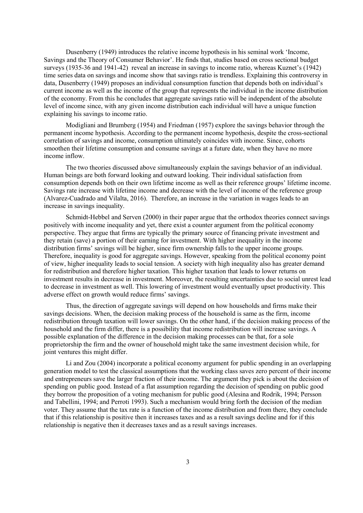Dusenberry (1949) introduces the relative income hypothesis in his seminal work 'Income, Savings and the Theory of Consumer Behavior'. He finds that, studies based on cross sectional budget surveys (1935-36 and 1941-42) reveal an increase in savings to income ratio, whereas Kuznet's (1942) time series data on savings and income show that savings ratio is trendless. Explaining this controversy in data, Dusenberry (1949) proposes an individual consumption function that depends both on individual's current income as well as the income of the group that represents the individual in the income distribution of the economy. From this he concludes that aggregate savings ratio will be independent of the absolute level of income since, with any given income distribution each individual will have a unique function explaining his savings to income ratio.

Modigliani and Brumberg (1954) and Friedman (1957) explore the savings behavior through the permanent income hypothesis. According to the permanent income hypothesis, despite the cross-sectional correlation of savings and income, consumption ultimately coincides with income. Since, cohorts smoothen their lifetime consumption and consume savings at a future date, when they have no more income inflow.

The two theories discussed above simultaneously explain the savings behavior of an individual. Human beings are both forward looking and outward looking. Their individual satisfaction from consumption depends both on their own lifetime income as well as their reference groups' lifetime income. Savings rate increase with lifetime income and decrease with the level of income of the reference group (Alvarez-Cuadrado and Vilalta, 2016). Therefore, an increase in the variation in wages leads to an increase in savings inequality.

Schmidt-Hebbel and Serven (2000) in their paper argue that the orthodox theories connect savings positively with income inequality and yet, there exist a counter argument from the political economy perspective. They argue that firms are typically the primary source of financing private investment and they retain (save) a portion of their earning for investment. With higher inequality in the income distribution firms' savings will be higher, since firm ownership falls to the upper income groups. Therefore, inequality is good for aggregate savings. However, speaking from the political economy point of view, higher inequality leads to social tension. A society with high inequality also has greater demand for redistribution and therefore higher taxation. This higher taxation that leads to lower returns on investment results in decrease in investment. Moreover, the resulting uncertainties due to social unrest lead to decrease in investment as well. This lowering of investment would eventually upset productivity. This adverse effect on growth would reduce firms' savings.

Thus, the direction of aggregate savings will depend on how households and firms make their savings decisions. When, the decision making process of the household is same as the firm, income redistribution through taxation will lower savings. On the other hand, if the decision making process of the household and the firm differ, there is a possibility that income redistribution will increase savings. A possible explanation of the difference in the decision making processes can be that, for a sole proprietorship the firm and the owner of household might take the same investment decision while, for joint ventures this might differ.

Li and Zou (2004) incorporate a political economy argument for public spending in an overlapping generation model to test the classical assumptions that the working class saves zero percent of their income and entrepreneurs save the larger fraction of their income. The argument they pick is about the decision of spending on public good. Instead of a flat assumption regarding the decision of spending on public good they borrow the proposition of a voting mechanism for public good (Alesina and Rodrik, 1994; Persson and Tabellini, 1994; and Perroti 1993). Such a mechanism would bring forth the decision of the median voter. They assume that the tax rate is a function of the income distribution and from there, they conclude that if this relationship is positive then it increases taxes and as a result savings decline and for if this relationship is negative then it decreases taxes and as a result savings increases.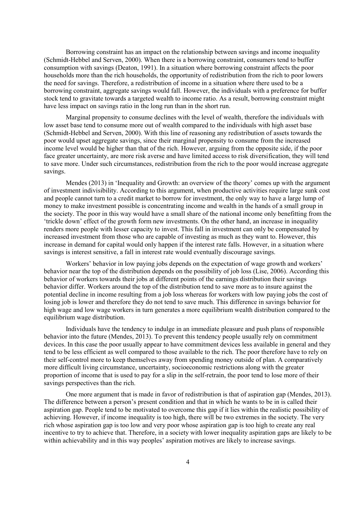Borrowing constraint has an impact on the relationship between savings and income inequality (Schmidt-Hebbel and Serven, 2000). When there is a borrowing constraint, consumers tend to buffer consumption with savings (Deaton, 1991). In a situation where borrowing constraint affects the poor households more than the rich households, the opportunity of redistribution from the rich to poor lowers the need for savings. Therefore, a redistribution of income in a situation where there used to be a borrowing constraint, aggregate savings would fall. However, the individuals with a preference for buffer stock tend to gravitate towards a targeted wealth to income ratio. As a result, borrowing constraint might have less impact on savings ratio in the long run than in the short run.

Marginal propensity to consume declines with the level of wealth, therefore the individuals with low asset base tend to consume more out of wealth compared to the individuals with high asset base (Schmidt-Hebbel and Serven, 2000). With this line of reasoning any redistribution of assets towards the poor would upset aggregate savings, since their marginal propensity to consume from the increased income level would be higher than that of the rich. However, arguing from the opposite side, if the poor face greater uncertainty, are more risk averse and have limited access to risk diversification, they will tend to save more. Under such circumstances, redistribution from the rich to the poor would increase aggregate savings.

Mendes (2013) in 'Inequality and Growth: an overview of the theory' comes up with the argument of investment indivisibility. According to this argument, when productive activities require large sunk cost and people cannot turn to a credit market to borrow for investment, the only way to have a large lump of money to make investment possible is concentrating income and wealth in the hands of a small group in the society. The poor in this way would have a small share of the national income only benefitting from the 'trickle down' effect of the growth form new investments. On the other hand, an increase in inequality renders more people with lesser capacity to invest. This fall in investment can only be compensated by increased investment from those who are capable of investing as much as they want to. However, this increase in demand for capital would only happen if the interest rate falls. However, in a situation where savings is interest sensitive, a fall in interest rate would eventually discourage savings.

Workers' behavior in low paying jobs depends on the expectation of wage growth and workers' behavior near the top of the distribution depends on the possibility of job loss (Lise, 2006). According this behavior of workers towards their jobs at different points of the earnings distribution their savings behavior differ. Workers around the top of the distribution tend to save more as to insure against the potential decline in income resulting from a job loss whereas for workers with low paying jobs the cost of losing job is lower and therefore they do not tend to save much. This difference in savings behavior for high wage and low wage workers in turn generates a more equilibrium wealth distribution compared to the equilibrium wage distribution.

Individuals have the tendency to indulge in an immediate pleasure and push plans of responsible behavior into the future (Mendes, 2013). To prevent this tendency people usually rely on commitment devices. In this case the poor usually appear to have commitment devices less available in general and they tend to be less efficient as well compared to those available to the rich. The poor therefore have to rely on their self-control more to keep themselves away from spending money outside of plan. A comparatively more difficult living circumstance, uncertainty, socioeconomic restrictions along with the greater proportion of income that is used to pay for a slip in the self-retrain, the poor tend to lose more of their savings perspectives than the rich.

One more argument that is made in favor of redistribution is that of aspiration gap (Mendes, 2013). The difference between a person's present condition and that in which he wants to be in is called their aspiration gap. People tend to be motivated to overcome this gap if it lies within the realistic possibility of achieving. However, if income inequality is too high, there will be two extremes in the society. The very rich whose aspiration gap is too low and very poor whose aspiration gap is too high to create any real incentive to try to achieve that. Therefore, in a society with lower inequality aspiration gaps are likely to be within achievability and in this way peoples' aspiration motives are likely to increase savings.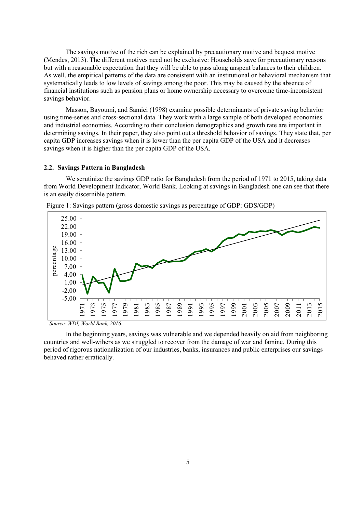The savings motive of the rich can be explained by precautionary motive and bequest motive (Mendes, 2013). The different motives need not be exclusive: Households save for precautionary reasons but with a reasonable expectation that they will be able to pass along unspent balances to their children. As well, the empirical patterns of the data are consistent with an institutional or behavioral mechanism that systematically leads to low levels of savings among the poor. This may be caused by the absence of financial institutions such as pension plans or home ownership necessary to overcome time-inconsistent savings behavior.

Masson, Bayoumi, and Samiei (1998) examine possible determinants of private saving behavior using time-series and cross-sectional data. They work with a large sample of both developed economies and industrial economies. According to their conclusion demographics and growth rate are important in determining savings. In their paper, they also point out a threshold behavior of savings. They state that, per capita GDP increases savings when it is lower than the per capita GDP of the USA and it decreases savings when it is higher than the per capita GDP of the USA.

#### **2.2. Savings Pattern in Bangladesh**

We scrutinize the savings GDP ratio for Bangladesh from the period of 1971 to 2015, taking data from World Development Indicator, World Bank. Looking at savings in Bangladesh one can see that there



 *Source: WDI, World Bank, 2016.*

In the beginning years, savings was vulnerable and we depended heavily on aid from neighboring countries and well-wihers as we struggled to recover from the damage of war and famine. During this period of rigorous nationalization of our industries, banks, insurances and public enterprises our savings behaved rather erratically.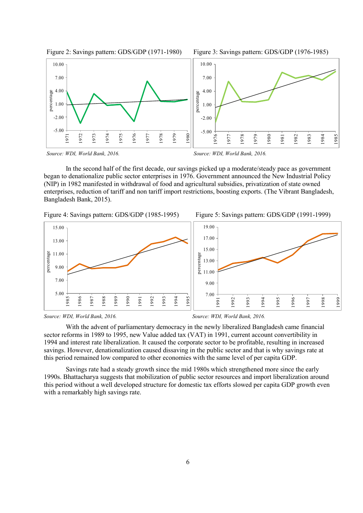





*Source: WDI, World Bank, 2016. Source: WDI, World Bank, 2016.*

In the second half of the first decade, our savings picked up a moderate/steady pace as government began to denationalize public sector enterprises in 1976. Government announced the New Industrial Policy (NIP) in 1982 manifested in withdrawal of food and agricultural subsidies, privatization of state owned enterprises, reduction of tariff and non tariff import restrictions, boosting exports. (The Vibrant Bangladesh, Bangladesh Bank, 2015).







With the advent of parliamentary democracy in the newly liberalized Bangladesh came financial sector reforms in 1989 to 1995, new Value added tax (VAT) in 1991, current account convertibility in 1994 and interest rate liberalization. It caused the corporate sector to be profitable, resulting in increased savings. However, denationalization caused dissaving in the public sector and that is why savings rate at this period remained low compared to other economies with the same level of per capita GDP.

Savings rate had a steady growth since the mid 1980s which strengthened more since the early 1990s. Bhattacharya suggests that mobilization of public sector resources and import liberalization around this period without a well developed structure for domestic tax efforts slowed per capita GDP growth even with a remarkably high savings rate.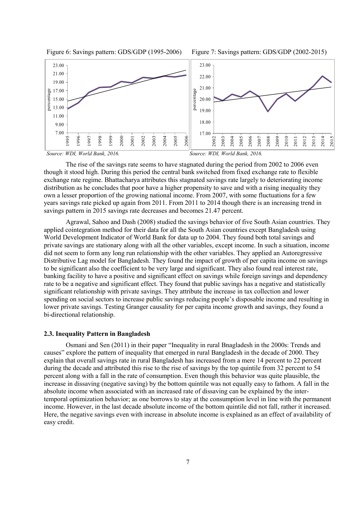



The rise of the savings rate seems to have stagnated during the period from 2002 to 2006 even though it stood high. During this period the central bank switched from fixed exchange rate to flexible exchange rate regime. Bhattacharya attributes this stagnated savings rate largely to deteriorating income distribution as he concludes that poor have a higher propensity to save and with a rising inequality they own a lesser proportion of the growing national income. From 2007, with some fluctuations for a few years savings rate picked up again from 2011. From 2011 to 2014 though there is an increasing trend in savings pattern in 2015 savings rate decreases and becomes 21.47 percent.

Agrawal, Sahoo and Dash (2008) studied the savings behavior of five South Asian countries. They applied cointegration method for their data for all the South Asian countries except Bangladesh using World Development Indicator of World Bank for data up to 2004. They found both total savings and private savings are stationary along with all the other variables, except income. In such a situation, income did not seem to form any long run relationship with the other variables. They applied an Autoregressive Distributive Lag model for Bangladesh. They found the impact of growth of per capita income on savings to be significant also the coefficient to be very large and significant. They also found real interest rate, banking facility to have a positive and significant effect on savings while foreign savings and dependency rate to be a negative and significant effect. They found that public savings has a negative and statistically significant relationship with private savings. They attribute the increase in tax collection and lower spending on social sectors to increase public savings reducing people's disposable income and resulting in lower private savings. Testing Granger causality for per capita income growth and savings, they found a bi-directional relationship.

## **2.3. Inequality Pattern in Bangladesh**

Osmani and Sen (2011) in their paper "Inequality in rural Bnagladesh in the 2000s: Trends and causes" explore the pattern of inequality that emerged in rural Bangladesh in the decade of 2000. They explain that overall savings rate in rural Bangladesh has increased from a mere 14 percent to 22 percent during the decade and attributed this rise to the rise of savings by the top quintile from 32 percent to 54 percent along with a fall in the rate of consumption. Even though this behavior was quite plausible, the increase in dissaving (negative saving) by the bottom quintile was not equally easy to fathom. A fall in the absolute income when associated with an increased rate of dissaving can be explained by the intertemporal optimization behavior; as one borrows to stay at the consumption level in line with the permanent income. However, in the last decade absolute income of the bottom quintile did not fall, rather it increased. Here, the negative savings even with increase in absolute income is explained as an effect of availability of easy credit.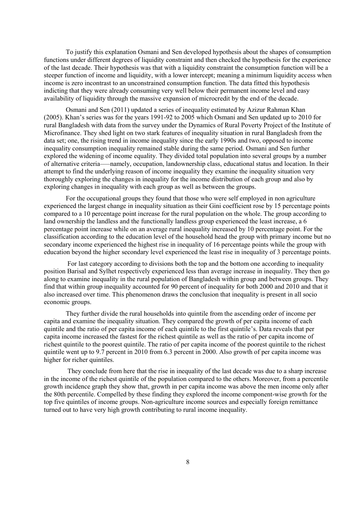To justify this explanation Osmani and Sen developed hypothesis about the shapes of consumption functions under different degrees of liquidity constraint and then checked the hypothesis for the experience of the last decade. Their hypothesis was that with a liquidity constraint the consumption function will be a steeper function of income and liquidity, with a lower intercept; meaning a minimum liquidity access when income is zero incontrast to an unconstrained consumption function. The data fitted this hypothesis indicting that they were already consuming very well below their permanent income level and easy availability of liquidity through the massive expansion of microcredit by the end of the decade.

Osmani and Sen (2011) updated a series of inequality estimated by Azizur Rahman Khan (2005). Khan's series was for the years 1991-92 to 2005 which Osmani and Sen updated up to 2010 for rural Bangladesh with data from the survey under the Dynamics of Rural Poverty Project of the Institute of Microfinance. They shed light on two stark features of inequality situation in rural Bangladesh from the data set; one, the rising trend in income inequality since the early 1990s and two, opposed to income inequality consumption inequality remained stable during the same period. Osmani and Sen further explored the widening of income equality. They divided total population into several groups by a number of alternative criteria–—namely, occupation, landownership class, educational status and location. In their attempt to find the underlying reason of income inequality they examine the inequality situation very thoroughly exploring the changes in inequality for the income distribution of each group and also by exploring changes in inequality with each group as well as between the groups.

For the occupational groups they found that those who were self employed in non agriculture experienced the largest change in inequality situation as their Gini coefficient rose by 15 percentage points compared to a 10 percentage point increase for the rural population on the whole. The group according to land ownership the landless and the functionally landless group experienced the least increase, a 6 percentage point increase while on an average rural inequality increased by 10 percentage point. For the classification according to the education level of the household head the group with primary income but no secondary income experienced the highest rise in inequality of 16 percentage points while the group with education beyond the higher secondary level experienced the least rise in inequality of 3 percentage points.

For last category according to divisions both the top and the bottom one according to inequality position Barisal and Sylhet respectively experienced less than average increase in inequality. They then go along to examine inequality in the rural population of Bangladesh within group and between groups. They find that within group inequality accounted for 90 percent of inequality for both 2000 and 2010 and that it also increased over time. This phenomenon draws the conclusion that inequality is present in all socio economic groups.

They further divide the rural households into quintile from the ascending order of income per capita and examine the inequality situation. They compared the growth of per capita income of each quintile and the ratio of per capita income of each quintile to the first quintile's. Data reveals that per capita income increased the fastest for the richest quintile as well as the ratio of per capita income of richest quintile to the poorest quintile. The ratio of per capita income of the poorest quintile to the richest quintile went up to 9.7 percent in 2010 from 6.3 percent in 2000. Also growth of per capita income was higher for richer quintiles.

They conclude from here that the rise in inequality of the last decade was due to a sharp increase in the income of the richest quintile of the population compared to the others. Moreover, from a percentile growth incidence graph they show that, growth in per capita income was above the men income only after the 80th percentile. Compelled by these finding they explored the income component-wise growth for the top five quintiles of income groups. Non-agriculture income sources and especially foreign remittance turned out to have very high growth contributing to rural income inequality.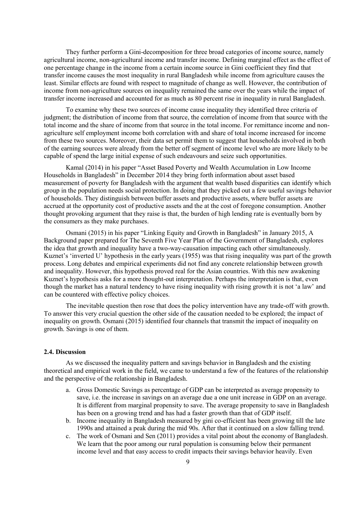They further perform a Gini-decomposition for three broad categories of income source, namely agricultural income, non-agricultural income and transfer income. Defining marginal effect as the effect of one percentage change in the income from a certain income source in Gini coefficient they find that transfer income causes the most inequality in rural Bangladesh while income from agriculture causes the least. Similar effects are found with respect to magnitude of change as well. However, the contribution of income from non-agriculture sources on inequality remained the same over the years while the impact of transfer income increased and accounted for as much as 80 percent rise in inequality in rural Bangladesh.

To examine why these two sources of income cause inequality they identified three criteria of judgment; the distribution of income from that source, the correlation of income from that source with the total income and the share of income from that source in the total income. For remittance income and nonagriculture self employment income both correlation with and share of total income increased for income from these two sources. Moreover, their data set permit them to suggest that households involved in both of the earning sources were already from the better off segment of income level who are more likely to be capable of spend the large initial expense of such endeavours and seize such opportunities.

Kamal (2014) in his paper "Asset Based Poverty and Wealth Accumulation in Low Income Households in Bangladesh" in December 2014 they bring forth information about asset based measurement of poverty for Bangladesh with the argument that wealth based disparities can identify which group in the population needs social protection. In doing that they picked out a few useful savings behavior of households. They distinguish between buffer assets and productive assets, where buffer assets are accrued at the opportunity cost of productive assets and the at the cost of foregone consumption. Another thought provoking argument that they raise is that, the burden of high lending rate is eventually born by the consumers as they make purchases.

Osmani (2015) in his paper "Linking Equity and Growth in Bangladesh" in January 2015, A Background paper prepared for The Seventh Five Year Plan of the Government of Bangladesh, explores the idea that growth and inequality have a two-way-causation impacting each other simultaneously. Kuznet's 'inverted U' hypothesis in the early years (1955) was that rising inequality was part of the growth process. Long debates and empirical experiments did not find any concrete relationship between growth and inequality. However, this hypothesis proved real for the Asian countries. With this new awakening Kuznet's hypothesis asks for a more thought-out interpretation. Perhaps the interpretation is that, even though the market has a natural tendency to have rising inequality with rising growth it is not 'a law' and can be countered with effective policy choices.

The inevitable question then rose that does the policy intervention have any trade-off with growth. To answer this very crucial question the other side of the causation needed to be explored; the impact of inequality on growth. Osmani (2015) identified four channels that transmit the impact of inequality on growth. Savings is one of them.

#### **2.4. Discussion**

As we discussed the inequality pattern and savings behavior in Bangladesh and the existing theoretical and empirical work in the field, we came to understand a few of the features of the relationship and the perspective of the relationship in Bangladesh.

- a. Gross Domestic Savings as percentage of GDP can be interpreted as average propensity to save, i.e. the increase in savings on an average due a one unit increase in GDP on an average. It is different from marginal propensity to save. The average propensity to save in Bangladesh has been on a growing trend and has had a faster growth than that of GDP itself.
- b. Income inequality in Bangladesh measured by gini co-efficient has been growing till the late 1990s and attained a peak during the mid 90s. After that it continued on a slow falling trend.
- c. The work of Osmani and Sen (2011) provides a vital point about the economy of Bangladesh. We learn that the poor among our rural population is consuming below their permanent income level and that easy access to credit impacts their savings behavior heavily. Even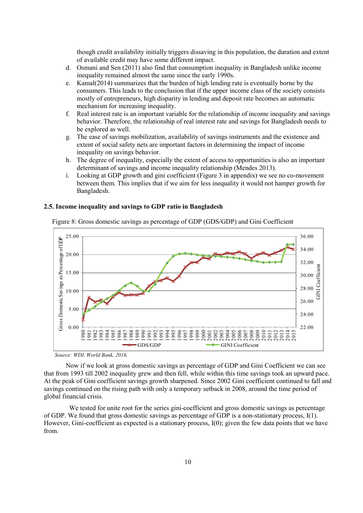though credit availability initially triggers dissaving in this population, the duration and extent of available credit may have some different impact.

- d. Osmani and Sen (2011) also find that consumption inequality in Bangladesh unlike income inequality remained almost the same since the early 1990s.
- e. Kamal(2014) summarizes that the burden of high lending rate is eventually borne by the consumers. This leads to the conclusion that if the upper income class of the society consists mostly of entrepreneurs, high disparity in lending and deposit rate becomes an automatic mechanism for increasing inequality.
- f. Real interest rate is an important variable for the relationship of income inequality and savings behavior. Therefore, the relationship of real interest rate and savings for Bangladesh needs to be explored as well.
- g. The ease of savings mobilization, availability of savings instruments and the existence and extent of social safety nets are important factors in determining the impact of income inequality on savings behavior.
- h. The degree of inequality, especially the extent of access to opportunities is also an important determinant of savings and income inequality relationship (Mendes 2013).
- i. Looking at GDP growth and gini coefficient (Figure 3 in appendix) we see no co-movement between them. This implies that if we aim for less inequality it would not hamper growth for Bangladesh.

## **2.5. Income inequality and savings to GDP ratio in Bangladesh**



Figure 8: Gross domestic savings as percentage of GDP (GDS/GDP) and Gini Coefficient

Now if we look at gross domestic savings as percentage of GDP and Gini Coefficient we can see that from 1993 till 2002 inequality grew and then fell, while within this time savings took an upward pace. At the peak of Gini coefficient savings growth sharpened. Since 2002 Gini coefficient continued to fall and savings continued on the rising path with only a temporary setback in 2008, around the time period of global financial crisis.

We tested for unite root for the series gini-coefficient and gross domestic savings as percentage of GDP. We found that gross domestic savings as percentage of GDP is a non-stationary process, I(1). However, Gini-coefficient as expected is a stationary process, I(0); given the few data points that we have from.

*Source: WDI, World Bank, 2016.*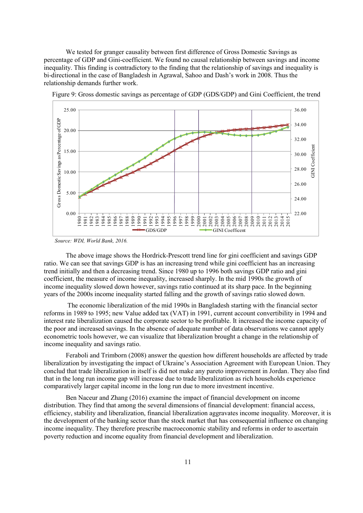We tested for granger causality between first difference of Gross Domestic Savings as percentage of GDP and Gini-coefficient. We found no causal relationship between savings and income inequality. This finding is contradictory to the finding that the relationship of savings and inequality is bi-directional in the case of Bangladesh in Agrawal, Sahoo and Dash's work in 2008. Thus the relationship demands further work.



*Source: WDI, World Bank, 2016.* 

The above image shows the Hordrick-Prescott trend line for gini coefficient and savings GDP ratio. We can see that savings GDP is has an increasing trend while gini coefficient has an increasing trend initially and then a decreasing trend. Since 1980 up to 1996 both savings GDP ratio and gini coefficient, the measure of income inequality, increased sharply. In the mid 1990s the growth of income inequality slowed down however, savings ratio continued at its sharp pace. In the beginning years of the 2000s income inequality started falling and the growth of savings ratio slowed down.

The economic liberalization of the mid 1990s in Bangladesh starting with the financial sector reforms in 1989 to 1995; new Value added tax (VAT) in 1991, current account convertibility in 1994 and interest rate liberalization caused the corporate sector to be profitable. It increased the income capacity of the poor and increased savings. In the absence of adequate number of data observations we cannot apply econometric tools however, we can visualize that liberalization brought a change in the relationship of income inequality and savings ratio.

Feraboli and Trimborn (2008) answer the question how different households are affected by trade liberalization by investigating the impact of Ukraine's Association Agreement with European Union. They conclud that trade liberalization in itself is did not make any pareto improvement in Jordan. They also find that in the long run income gap will increase due to trade liberalization as rich households experience comparatively larger capital income in the long run due to more investment incentive.

Ben Naceur and Zhang (2016) examine the impact of financial development on income distribution. They find that among the several dimensions of financial development: financial access, efficiency, stability and liberalization, financial liberalization aggravates income inequality. Moreover, it is the development of the banking sector than the stock market that has consequential influence on changing income inequality. They therefore prescribe macroeconomic stability and reforms in order to ascertain poverty reduction and income equality from financial development and liberalization.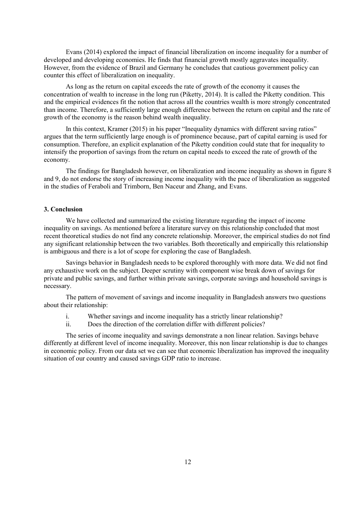Evans (2014) explored the impact of financial liberalization on income inequality for a number of developed and developing economies. He finds that financial growth mostly aggravates inequality. However, from the evidence of Brazil and Germany he concludes that cautious government policy can counter this effect of liberalization on inequality.

As long as the return on capital exceeds the rate of growth of the economy it causes the concentration of wealth to increase in the long run (Piketty, 2014). It is called the Piketty condition. This and the empirical evidences fit the notion that across all the countries wealth is more strongly concentrated than income. Therefore, a sufficiently large enough difference between the return on capital and the rate of growth of the economy is the reason behind wealth inequality.

In this context, Kramer (2015) in his paper "Inequality dynamics with different saving ratios" argues that the term sufficiently large enough is of prominence because, part of capital earning is used for consumption. Therefore, an explicit explanation of the Piketty condition could state that for inequality to intensify the proportion of savings from the return on capital needs to exceed the rate of growth of the economy.

The findings for Bangladesh however, on liberalization and income inequality as shown in figure 8 and 9, do not endorse the story of increasing income inequality with the pace of liberalization as suggested in the studies of Feraboli and Trimborn, Ben Naceur and Zhang, and Evans.

## **3. Conclusion**

We have collected and summarized the existing literature regarding the impact of income inequality on savings. As mentioned before a literature survey on this relationship concluded that most recent theoretical studies do not find any concrete relationship. Moreover, the empirical studies do not find any significant relationship between the two variables. Both theoretically and empirically this relationship is ambiguous and there is a lot of scope for exploring the case of Bangladesh.

Savings behavior in Bangladesh needs to be explored thoroughly with more data. We did not find any exhaustive work on the subject. Deeper scrutiny with component wise break down of savings for private and public savings, and further within private savings, corporate savings and household savings is necessary.

The pattern of movement of savings and income inequality in Bangladesh answers two questions about their relationship:

- i. Whether savings and income inequality has a strictly linear relationship?
- ii. Does the direction of the correlation differ with different policies?

The series of income inequality and savings demonstrate a non linear relation. Savings behave differently at different level of income inequality. Moreover, this non linear relationship is due to changes in economic policy. From our data set we can see that economic liberalization has improved the inequality situation of our country and caused savings GDP ratio to increase.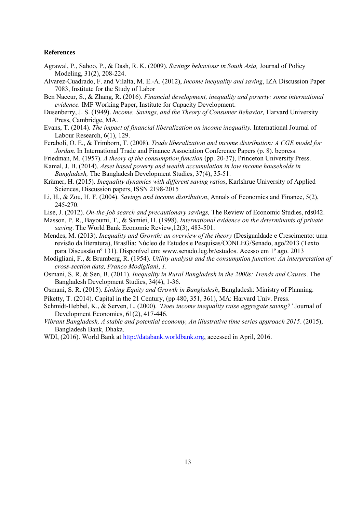#### **References**

- Agrawal, P., Sahoo, P., & Dash, R. K. (2009). *Savings behaviour in South Asia,* Journal of Policy Modeling, 31(2), 208-224.
- Alvarez-Cuadrado, F. and Vilalta, M. E.-A. (2012), *Income inequality and saving*, IZA Discussion Paper 7083, Institute for the Study of Labor
- Ben Naceur, S., & Zhang, R. (2016). *Financial development, inequality and poverty: some international evidence.* IMF Working Paper, Institute for Capacity Development.
- Dusenberry, J. S. (1949). *Income, Savings, and the Theory of Consumer Behavior,* Harvard University Press, Cambridge, MA.
- Evans, T. (2014). *The impact of financial liberalization on income inequality.* International Journal of Labour Research, 6(1), 129.
- Feraboli, O. E., & Trimborn, T. (2008). *Trade liberalization and income distribution: A CGE model for Jordan.* In International Trade and Finance Association Conference Papers (p. 8). bepress.
- Friedman, M. (1957). *A theory of the consumption function* (pp. 20-37), Princeton University Press.
- Kamal, J. B. (2014). *Asset based poverty and wealth accumulation in low income households in Bangladesh,* The Bangladesh Development Studies, 37(4), 35-51.
- Krämer, H. (2015). *Inequality dynamics with different saving ratios*, Karlshrue University of Applied Sciences, Discussion papers, ISSN 2198-2015
- Li, H., & Zou, H. F. (2004). *Savings and income distribution*, Annals of Economics and Finance, 5(2), 245-270.
- Lise, J. (2012). *On-the-job search and precautionary savings,* The Review of Economic Studies, rds042.
- Masson, P. R., Bayoumi, T., & Samiei, H. (1998). *International evidence on the determinants of private saving*. The World Bank Economic Review,12(3), 483-501.
- Mendes, M. (2013). *Inequality and Growth: an overview of the theory* (Desigualdade e Crescimento: uma revisão da literatura), Brasília: Núcleo de Estudos e Pesquisas/CONLEG/Senado, ago/2013 (Texto para Discussão nº 131). Disponível em: www.senado.leg.br/estudos. Acesso em 1º ago. 2013
- Modigliani, F., & Brumberg, R. (1954). *Utility analysis and the consumption function: An interpretation of cross-section data, Franco Modigliani*, *1*.
- Osmani, S. R. & Sen, B. (2011). *Inequality in Rural Bangladesh in the 2000s: Trends and Causes*. The Bangladesh Development Studies, 34(4), 1-36.
- Osmani, S. R. (2015). *Linking Equity and Growth in Bangladesh*, Bangladesh: Ministry of Planning.
- Piketty, T. (2014). Capital in the 21 Century, (pp 480, 351, 361), MA: Harvard Univ. Press.
- Schmidt-Hebbel, K., & Serven, L. (2000). *'Does income inequality raise aggregate saving?'* Journal of Development Economics, 61(2), 417-446.
- *Vibrant Bangladesh, A stable and potential economy, An illustrative time series approach 2015*. (2015), Bangladesh Bank, Dhaka.
- WDI, (2016). World Bank at [http://databank.worldbank.org,](http://databank.worldbank.org/) accessed in April, 2016.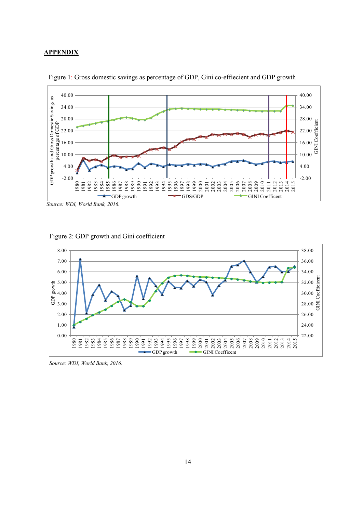## **APPENDIX**





*Source: WDI, World Bank, 2016.* 





*Source: WDI, World Bank, 2016.*